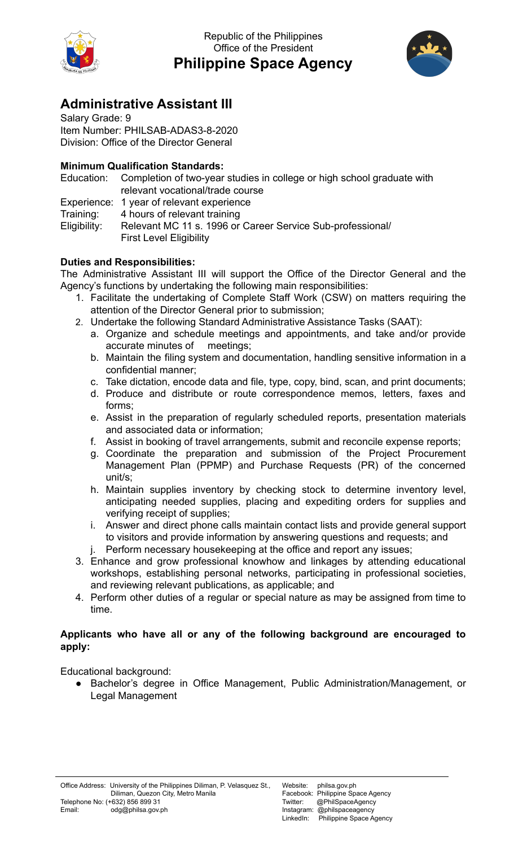

Republic of the Philippines Office of the President **Philippine Space Agency**



## **Administrative Assistant III**

Salary Grade: 9 Item Number: PHILSAB-ADAS3-8-2020 Division: Office of the Director General

## **Minimum Qualification Standards:**

|              | Education: Completion of two-year studies in college or high school graduate with<br>relevant vocational/trade course |
|--------------|-----------------------------------------------------------------------------------------------------------------------|
|              | Experience: 1 year of relevant experience                                                                             |
| Training:    | 4 hours of relevant training                                                                                          |
| Eligibility: | Relevant MC 11 s. 1996 or Career Service Sub-professional/                                                            |
|              | <b>First Level Eligibility</b>                                                                                        |

## **Duties and Responsibilities:**

The Administrative Assistant III will support the Office of the Director General and the Agency's functions by undertaking the following main responsibilities:

- 1. Facilitate the undertaking of Complete Staff Work (CSW) on matters requiring the attention of the Director General prior to submission;
- 2. Undertake the following Standard Administrative Assistance Tasks (SAAT):
	- a. Organize and schedule meetings and appointments, and take and/or provide accurate minutes of meetings;
	- b. Maintain the filing system and documentation, handling sensitive information in a confidential manner;
	- c. Take dictation, encode data and file, type, copy, bind, scan, and print documents;
	- d. Produce and distribute or route correspondence memos, letters, faxes and forms;
	- e. Assist in the preparation of regularly scheduled reports, presentation materials and associated data or information;
	- f. Assist in booking of travel arrangements, submit and reconcile expense reports;
	- g. Coordinate the preparation and submission of the Project Procurement Management Plan (PPMP) and Purchase Requests (PR) of the concerned unit/s;
	- h. Maintain supplies inventory by checking stock to determine inventory level, anticipating needed supplies, placing and expediting orders for supplies and verifying receipt of supplies;
	- i. Answer and direct phone calls maintain contact lists and provide general support to visitors and provide information by answering questions and requests; and j. Perform necessary housekeeping at the office and report any issues;
- 3. Enhance and grow professional knowhow and linkages by attending educational workshops, establishing personal networks, participating in professional societies, and reviewing relevant publications, as applicable; and
- 4. Perform other duties of a regular or special nature as may be assigned from time to time.

## **Applicants who have all or any of the following background are encouraged to apply:**

Educational background:

● Bachelor's degree in Office Management, Public Administration/Management, or Legal Management